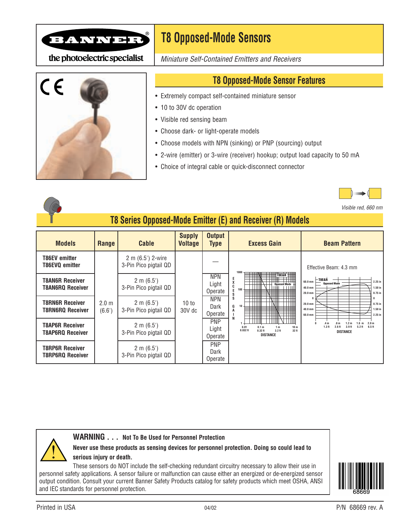

the photoelectric specialist



*Miniature Self-Contained Emitters and Receivers*



## **T8 Opposed-Mode Sensor Features**

- Extremely compact self-contained miniature sensor
- 10 to 30V dc operation
- Visible red sensing beam
- Choose dark- or light-operate models
- Choose models with NPN (sinking) or PNP (sourcing) output
- 2-wire (emitter) or 3-wire (receiver) hookup; output load capacity to 50 mA
- Choice of integral cable or quick-disconnect connector



*Visible red, 660 nm*

## **T8 Series Opposed-Mode Emitter (E) and Receiver (R) Models**

| <b>Models</b>                                     | <b>Range</b>               | <b>Cable</b>                                   | <b>Supply</b><br><b>Voltage</b> | <b>Output</b><br><b>Type</b>   | <b>Excess Gain</b>                                                                                                               | <b>Beam Pattern</b>                                                                                                                                                                            |  |  |
|---------------------------------------------------|----------------------------|------------------------------------------------|---------------------------------|--------------------------------|----------------------------------------------------------------------------------------------------------------------------------|------------------------------------------------------------------------------------------------------------------------------------------------------------------------------------------------|--|--|
| T86EV emitter<br>T86EVQ emitter                   |                            | 2 m (6.5') 2-wire<br>3-Pin Pico pigtail QD     |                                 |                                | 1000<br><b>TREAR</b><br>E<br>Opposed Mode<br>╥╥╥<br>X<br>$100 -$<br>S                                                            | Effective Beam: 4.3 mm                                                                                                                                                                         |  |  |
| <b>T8AN6R Receiver</b><br><b>T8AN6RQ Receiver</b> |                            | $2 \text{ m } (6.5')$<br>3-Pin Pico pigtail QD |                                 | <b>NPN</b><br>Light<br>Operate |                                                                                                                                  | <b>T8E&amp;R</b><br>$2.25$ in<br>60.0 mm<br><b>Opposed Mode</b><br>$1.50$ in<br>40.0 mm<br>$20.0$ mm<br>$0.75$ in                                                                              |  |  |
| <b>T8RN6R Receiver</b><br><b>T8RN6RQ Receiver</b> | 2.0 <sub>m</sub><br>(6.6') | $2 \text{ m } (6.5')$<br>3-Pin Pico pigtail QD | 10 to<br>$30V$ dc               | <b>NPN</b><br>Dark<br>Operate  | S<br>G<br>10<br>A<br>╥╥╥<br>N                                                                                                    | $20.0 \text{ mm}$<br>$0.75$ in<br>40.0 mm<br>$1.50$ in<br>60.0 mm<br>$2.25$ in                                                                                                                 |  |  |
| <b>T8AP6R Receiver</b><br><b>T8AP6RQ Receiver</b> |                            | $2 \text{ m } (6.5')$<br>3-Pin Pico pigtail QD |                                 | <b>PNP</b><br>Light<br>Operate | 0.01<br>0.1 <sub>m</sub><br>10 <sub>m</sub><br>1 <sub>m</sub><br>$3.2$ ft<br>$0.032$ ft<br>$0.32$ ft<br>32 ft<br><b>DISTANCE</b> | 2.0 <sub>m</sub><br>.4 <sub>m</sub><br>.8 <sub>m</sub><br>1.2 <sub>m</sub><br>1.6<br>m<br>1.3 <sub>ft</sub><br>$5.2$ ft<br>6.5 ft<br>2.6 <sub>ft</sub><br>3.9 <sub>ft</sub><br><b>DISTANCE</b> |  |  |
| <b>T8RP6R Receiver</b><br><b>T8RP6RQ Receiver</b> |                            | $2 \text{ m } (6.5')$<br>3-Pin Pico pigtail QD |                                 | <b>PNP</b><br>Dark<br>Operate  |                                                                                                                                  |                                                                                                                                                                                                |  |  |



**Never use these products as sensing devices for personnel protection. Doing so could lead to serious injury or death.**

These sensors do NOT include the self-checking redundant circuitry necessary to allow their use in personnel safety applications. A sensor failure or malfunction can cause either an energized or de-energized sensor output condition. Consult your current Banner Safety Products catalog for safety products which meet OSHA, ANSI and IEC standards for personnel protection. !

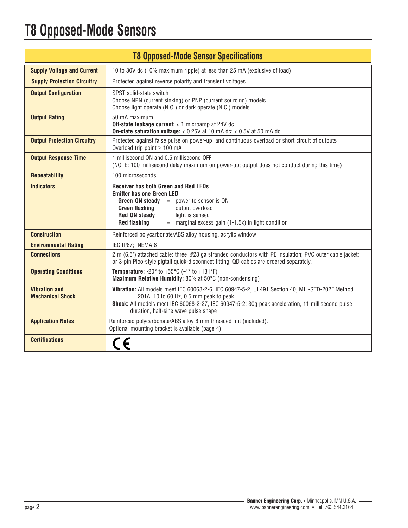## **T8 Opposed-Mode Sensors**

| <b>T8 Opposed-Mode Sensor Specifications</b>    |                                                                                                                                                                                                                                                                                                                    |  |  |  |  |  |
|-------------------------------------------------|--------------------------------------------------------------------------------------------------------------------------------------------------------------------------------------------------------------------------------------------------------------------------------------------------------------------|--|--|--|--|--|
| <b>Supply Voltage and Current</b>               | 10 to 30V dc (10% maximum ripple) at less than 25 mA (exclusive of load)                                                                                                                                                                                                                                           |  |  |  |  |  |
| <b>Supply Protection Circuitry</b>              | Protected against reverse polarity and transient voltages                                                                                                                                                                                                                                                          |  |  |  |  |  |
| <b>Output Configuration</b>                     | SPST solid-state switch<br>Choose NPN (current sinking) or PNP (current sourcing) models<br>Choose light operate (N.O.) or dark operate (N.C.) models                                                                                                                                                              |  |  |  |  |  |
| <b>Output Rating</b>                            | 50 mA maximum<br>Off-state leakage current: < 1 microamp at 24V dc<br><b>On-state saturation voltage:</b> < $0.25V$ at 10 mA dc; < $0.5V$ at 50 mA dc                                                                                                                                                              |  |  |  |  |  |
| <b>Output Protection Circuitry</b>              | Protected against false pulse on power-up and continuous overload or short circuit of outputs<br>Overload trip point $\geq 100$ mA                                                                                                                                                                                 |  |  |  |  |  |
| <b>Output Response Time</b>                     | 1 millisecond ON and 0.5 millisecond OFF<br>(NOTE: 100 millisecond delay maximum on power-up; output does not conduct during this time)                                                                                                                                                                            |  |  |  |  |  |
| <b>Repeatability</b>                            | 100 microseconds                                                                                                                                                                                                                                                                                                   |  |  |  |  |  |
| <b>Indicators</b>                               | <b>Receiver has both Green and Red LEDs</b><br><b>Emitter has one Green LED</b><br><b>Green ON steady</b><br>= power to sensor is ON<br><b>Green flashing</b><br>$=$ output overload<br><b>Red ON steady</b><br>$=$ light is sensed<br><b>Red flashing</b><br>$=$ marginal excess gain (1-1.5x) in light condition |  |  |  |  |  |
| <b>Construction</b>                             | Reinforced polycarbonate/ABS alloy housing, acrylic window                                                                                                                                                                                                                                                         |  |  |  |  |  |
| <b>Environmental Rating</b>                     | IEC IP67; NEMA 6                                                                                                                                                                                                                                                                                                   |  |  |  |  |  |
| <b>Connections</b>                              | 2 m (6.5') attached cable: three #28 ga stranded conductors with PE insulation; PVC outer cable jacket;<br>or 3-pin Pico-style pigtail quick-disconnect fitting. QD cables are ordered separately.                                                                                                                 |  |  |  |  |  |
| <b>Operating Conditions</b>                     | <b>Temperature:</b> -20 $^{\circ}$ to +55 $^{\circ}$ C (-4 $^{\circ}$ to +131 $^{\circ}$ F)<br>Maximum Relative Humidity: 80% at 50°C (non-condensing)                                                                                                                                                             |  |  |  |  |  |
| <b>Vibration and</b><br><b>Mechanical Shock</b> | Vibration: All models meet IEC 60068-2-6, IEC 60947-5-2, UL491 Section 40, MIL-STD-202F Method<br>201A; 10 to 60 Hz, 0.5 mm peak to peak<br>Shock: All models meet IEC 60068-2-27, IEC 60947-5-2; 30g peak acceleration, 11 millisecond pulse<br>duration, half-sine wave pulse shape                              |  |  |  |  |  |
| <b>Application Notes</b>                        | Reinforced polycarbonate/ABS alloy 8 mm threaded nut (included).<br>Optional mounting bracket is available (page 4).                                                                                                                                                                                               |  |  |  |  |  |
| <b>Certifications</b>                           |                                                                                                                                                                                                                                                                                                                    |  |  |  |  |  |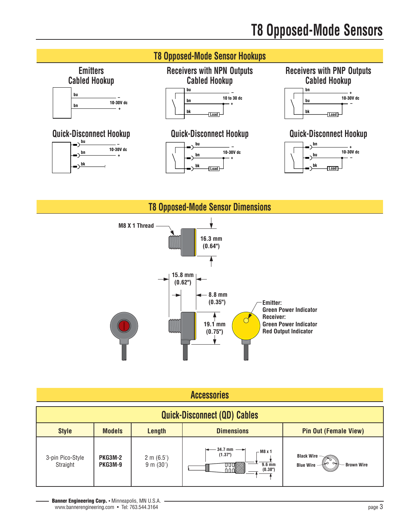



| Accessories |  |  |  |  |  |
|-------------|--|--|--|--|--|
|             |  |  |  |  |  |

| <b>Quick-Disconnect (QD) Cables</b> |                                  |                                    |                                                                                          |                                                       |  |  |
|-------------------------------------|----------------------------------|------------------------------------|------------------------------------------------------------------------------------------|-------------------------------------------------------|--|--|
| <b>Style</b>                        | <b>Models</b>                    | <b>Length</b>                      | <b>Dimensions</b>                                                                        | <b>Pin Out (Female View)</b>                          |  |  |
| 3-pin Pico-Style<br>Straight        | <b>PKG3M-2</b><br><b>PKG3M-9</b> | $2 \text{ m } (6.5')$<br>9 m (30') | $\leftarrow$ 34.7 mm $\rightarrow$<br>- M8 x 1<br>(1.37")<br>$9.6 \text{ mm}$<br>(0.38") | Black Wire -<br><b>Blue Wire</b><br><b>Brown Wire</b> |  |  |